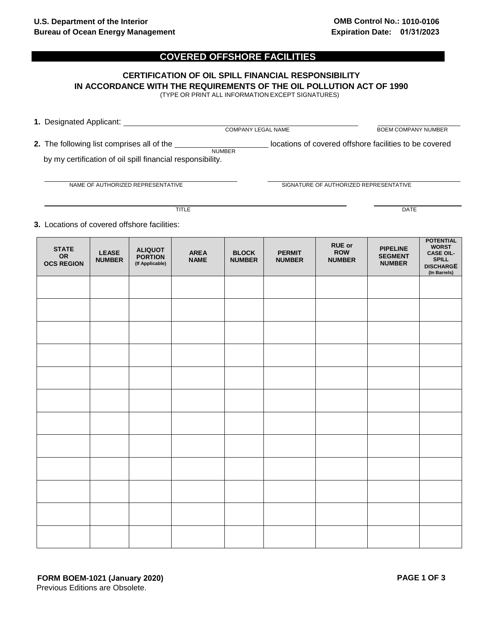## **COVERED OFFSHORE FACILITIES**

## **CERTIFICATION OF OIL SPILL FINANCIAL RESPONSIBILITY IN ACCORDANCE WITH THE REQUIREMENTS OF THE OIL POLLUTION ACT OF 1990** (TYPE OR PRINT ALL INFORMATION EXCEPT SIGNATURES)

| 1. Designated Applicant:                                   |                           |                                                        |  |
|------------------------------------------------------------|---------------------------|--------------------------------------------------------|--|
|                                                            | <b>COMPANY LEGAL NAME</b> | <b>BOEM COMPANY NUMBER</b>                             |  |
| <b>2.</b> The following list comprises all of the          | <b>NUMBER</b>             | locations of covered offshore facilities to be covered |  |
| by my certification of oil spill financial responsibility. |                           |                                                        |  |

NAME OF AUTHORIZED REPRESENTATIVE **SIGNATURE OF AUTHORIZED REPRESENTATIVE** 

TITLE DATE

**3.** Locations of covered offshore facilities:

| <b>STATE</b><br><b>OR</b><br><b>OCS REGION</b> | <b>LEASE</b><br><b>NUMBER</b> | <b>ALIQUOT</b><br><b>PORTION</b><br>(If Applicable) | <b>AREA</b><br><b>NAME</b> | <b>BLOCK</b><br><b>NUMBER</b> | <b>PERMIT</b><br><b>NUMBER</b> | <b>RUE or</b><br><b>ROW</b><br><b>NUMBER</b> | <b>PIPELINE</b><br><b>SEGMENT</b><br><b>NUMBER</b> | <b>POTENTIAL</b><br><b>WORST</b><br><b>CASE OIL-</b><br><b>SPILL</b><br><b>DISCHARGE</b><br>(In Barrels) |
|------------------------------------------------|-------------------------------|-----------------------------------------------------|----------------------------|-------------------------------|--------------------------------|----------------------------------------------|----------------------------------------------------|----------------------------------------------------------------------------------------------------------|
|                                                |                               |                                                     |                            |                               |                                |                                              |                                                    |                                                                                                          |
|                                                |                               |                                                     |                            |                               |                                |                                              |                                                    |                                                                                                          |
|                                                |                               |                                                     |                            |                               |                                |                                              |                                                    |                                                                                                          |
|                                                |                               |                                                     |                            |                               |                                |                                              |                                                    |                                                                                                          |
|                                                |                               |                                                     |                            |                               |                                |                                              |                                                    |                                                                                                          |
|                                                |                               |                                                     |                            |                               |                                |                                              |                                                    |                                                                                                          |
|                                                |                               |                                                     |                            |                               |                                |                                              |                                                    |                                                                                                          |
|                                                |                               |                                                     |                            |                               |                                |                                              |                                                    |                                                                                                          |
|                                                |                               |                                                     |                            |                               |                                |                                              |                                                    |                                                                                                          |
|                                                |                               |                                                     |                            |                               |                                |                                              |                                                    |                                                                                                          |
|                                                |                               |                                                     |                            |                               |                                |                                              |                                                    |                                                                                                          |
|                                                |                               |                                                     |                            |                               |                                |                                              |                                                    |                                                                                                          |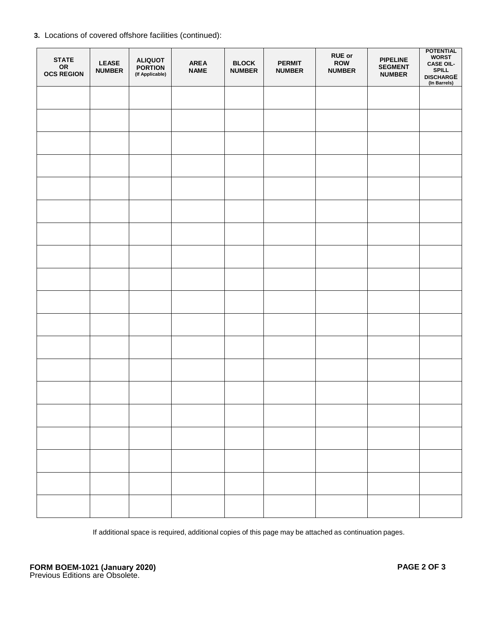|  |  |  | 3. Locations of covered offshore facilities (continued): |  |
|--|--|--|----------------------------------------------------------|--|
|  |  |  |                                                          |  |

| <b>STATE</b><br>OR<br><b>OCS REGION</b> | <b>LEASE</b><br><b>NUMBER</b> | <b>ALIQUOT</b><br><b>PORTION</b><br>(If Applicable) | <b>AREA</b><br><b>NAME</b> | <b>BLOCK</b><br><b>NUMBER</b> | <b>PERMIT</b><br><b>NUMBER</b> | <b>RUE or</b><br>ROW<br><b>NUMBER</b> | <b>PIPELINE</b><br><b>SEGMENT</b><br><b>NUMBER</b> | <b>POTENTIAL</b><br><b>WORST</b><br><b>CASE OIL-</b><br><b>SPILL</b><br><b>DISCHARGE</b><br>(In Barrels) |
|-----------------------------------------|-------------------------------|-----------------------------------------------------|----------------------------|-------------------------------|--------------------------------|---------------------------------------|----------------------------------------------------|----------------------------------------------------------------------------------------------------------|
|                                         |                               |                                                     |                            |                               |                                |                                       |                                                    |                                                                                                          |
|                                         |                               |                                                     |                            |                               |                                |                                       |                                                    |                                                                                                          |
|                                         |                               |                                                     |                            |                               |                                |                                       |                                                    |                                                                                                          |
|                                         |                               |                                                     |                            |                               |                                |                                       |                                                    |                                                                                                          |
|                                         |                               |                                                     |                            |                               |                                |                                       |                                                    |                                                                                                          |
|                                         |                               |                                                     |                            |                               |                                |                                       |                                                    |                                                                                                          |
|                                         |                               |                                                     |                            |                               |                                |                                       |                                                    |                                                                                                          |
|                                         |                               |                                                     |                            |                               |                                |                                       |                                                    |                                                                                                          |
|                                         |                               |                                                     |                            |                               |                                |                                       |                                                    |                                                                                                          |
|                                         |                               |                                                     |                            |                               |                                |                                       |                                                    |                                                                                                          |
|                                         |                               |                                                     |                            |                               |                                |                                       |                                                    |                                                                                                          |
|                                         |                               |                                                     |                            |                               |                                |                                       |                                                    |                                                                                                          |
|                                         |                               |                                                     |                            |                               |                                |                                       |                                                    |                                                                                                          |
|                                         |                               |                                                     |                            |                               |                                |                                       |                                                    |                                                                                                          |
|                                         |                               |                                                     |                            |                               |                                |                                       |                                                    |                                                                                                          |
|                                         |                               |                                                     |                            |                               |                                |                                       |                                                    |                                                                                                          |
|                                         |                               |                                                     |                            |                               |                                |                                       |                                                    |                                                                                                          |
|                                         |                               |                                                     |                            |                               |                                |                                       |                                                    |                                                                                                          |
|                                         |                               |                                                     |                            |                               |                                |                                       |                                                    |                                                                                                          |

If additional space is required, additional copies of this page may be attached as continuation pages.